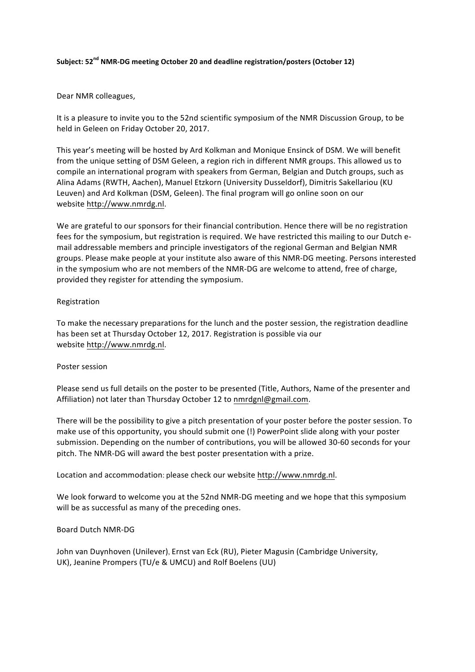#### **Subject: 52nd NMR-DG meeting October 20 and deadline registration/posters (October 12)**

### Dear NMR colleagues,

It is a pleasure to invite you to the 52nd scientific symposium of the NMR Discussion Group, to be held in Geleen on Friday October 20, 2017.

This year's meeting will be hosted by Ard Kolkman and Monique Ensinck of DSM. We will benefit from the unique setting of DSM Geleen, a region rich in different NMR groups. This allowed us to compile an international program with speakers from German, Belgian and Dutch groups, such as Alina Adams (RWTH, Aachen), Manuel Etzkorn (University Dusseldorf), Dimitris Sakellariou (KU Leuven) and Ard Kolkman (DSM, Geleen). The final program will go online soon on our website http://www.nmrdg.nl.

We are grateful to our sponsors for their financial contribution. Hence there will be no registration fees for the symposium, but registration is required. We have restricted this mailing to our Dutch email addressable members and principle investigators of the regional German and Belgian NMR groups. Please make people at your institute also aware of this NMR-DG meeting. Persons interested in the symposium who are not members of the NMR-DG are welcome to attend, free of charge, provided they register for attending the symposium.

#### Registration

To make the necessary preparations for the lunch and the poster session, the registration deadline has been set at Thursday October 12, 2017. Registration is possible via our website http://www.nmrdg.nl.

#### Poster session

Please send us full details on the poster to be presented (Title, Authors, Name of the presenter and Affiliation) not later than Thursday October 12 to nmrdgnl@gmail.com.

There will be the possibility to give a pitch presentation of your poster before the poster session. To make use of this opportunity, you should submit one (!) PowerPoint slide along with your poster submission. Depending on the number of contributions, you will be allowed 30-60 seconds for your pitch. The NMR-DG will award the best poster presentation with a prize.

Location and accommodation: please check our website http://www.nmrdg.nl.

We look forward to welcome you at the 52nd NMR-DG meeting and we hope that this symposium will be as successful as many of the preceding ones.

### Board Dutch NMR-DG

John van Duynhoven (Unilever), Ernst van Eck (RU), Pieter Magusin (Cambridge University, UK), Jeanine Prompers (TU/e & UMCU) and Rolf Boelens (UU)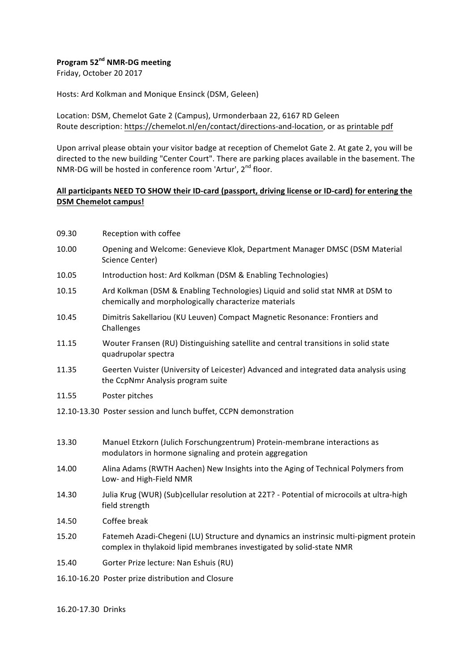# **Program 52nd NMR-DG meeting**

Friday, October 20 2017

Hosts: Ard Kolkman and Monique Ensinck (DSM, Geleen)

Location: DSM, Chemelot Gate 2 (Campus), Urmonderbaan 22, 6167 RD Geleen Route description: https://chemelot.nl/en/contact/directions-and-location, or as printable pdf

Upon arrival please obtain your visitor badge at reception of Chemelot Gate 2. At gate 2, you will be directed to the new building "Center Court". There are parking places available in the basement. The NMR-DG will be hosted in conference room 'Artur', 2<sup>nd</sup> floor.

# **All participants NEED TO SHOW their ID-card (passport, driving license or ID-card) for entering the DSM Chemelot campus!**

- 09.30 Reception with coffee
- 10.00 Opening and Welcome: Genevieve Klok, Department Manager DMSC (DSM Material Science Center)
- 10.05 Introduction host: Ard Kolkman (DSM & Enabling Technologies)
- 10.15 Ard Kolkman (DSM & Enabling Technologies) Liquid and solid stat NMR at DSM to chemically and morphologically characterize materials
- 10.45 Dimitris Sakellariou (KU Leuven) Compact Magnetic Resonance: Frontiers and Challenges
- 11.15 Wouter Fransen (RU) Distinguishing satellite and central transitions in solid state quadrupolar spectra
- 11.35 Geerten Vuister (University of Leicester) Advanced and integrated data analysis using the CcpNmr Analysis program suite
- 11.55 Poster pitches
- 12.10-13.30 Poster session and lunch buffet, CCPN demonstration
- 13.30 Manuel Etzkorn (Julich Forschungzentrum) Protein-membrane interactions as modulators in hormone signaling and protein aggregation
- 14.00 Alina Adams (RWTH Aachen) New Insights into the Aging of Technical Polymers from Low- and High-Field NMR
- 14.30 Julia Krug (WUR) (Sub)cellular resolution at 22T? Potential of microcoils at ultra-high field strength
- 14.50 Coffee break
- 15.20 Fatemeh Azadi-Chegeni (LU) Structure and dynamics an instrinsic multi-pigment protein complex in thylakoid lipid membranes investigated by solid-state NMR
- 15.40 Gorter Prize lecture: Nan Eshuis (RU)
- 16.10-16.20 Poster prize distribution and Closure

16.20-17.30 Drinks